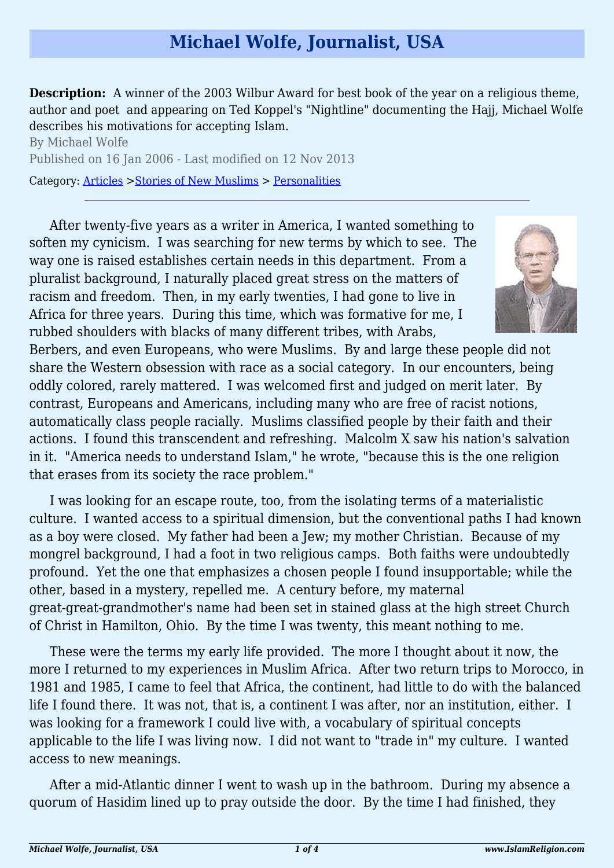## **Michael Wolfe, Journalist, USA**

**Description:** A winner of the 2003 Wilbur Award for best book of the year on a religious theme, author and poet and appearing on Ted Koppel's "Nightline" documenting the Hajj, Michael Wolfe describes his motivations for accepting Islam.

By Michael Wolfe Published on 16 Jan 2006 - Last modified on 12 Nov 2013 Category: [Articles](http://www.islamreligion.com/articles/) >[Stories of New Muslims](http://www.islamreligion.com/category/63/) > [Personalities](http://www.islamreligion.com/category/67/)

After twenty-five years as a writer in America, I wanted something to soften my cynicism. I was searching for new terms by which to see. The way one is raised establishes certain needs in this department. From a pluralist background, I naturally placed great stress on the matters of racism and freedom. Then, in my early twenties, I had gone to live in Africa for three years. During this time, which was formative for me, I rubbed shoulders with blacks of many different tribes, with Arabs,



Berbers, and even Europeans, who were Muslims. By and large these people did not share the Western obsession with race as a social category. In our encounters, being oddly colored, rarely mattered. I was welcomed first and judged on merit later. By contrast, Europeans and Americans, including many who are free of racist notions, automatically class people racially. Muslims classified people by their faith and their actions. I found this transcendent and refreshing. Malcolm X saw his nation's salvation in it. "America needs to understand Islam," he wrote, "because this is the one religion that erases from its society the race problem."

I was looking for an escape route, too, from the isolating terms of a materialistic culture. I wanted access to a spiritual dimension, but the conventional paths I had known as a boy were closed. My father had been a Jew; my mother Christian. Because of my mongrel background, I had a foot in two religious camps. Both faiths were undoubtedly profound. Yet the one that emphasizes a chosen people I found insupportable; while the other, based in a mystery, repelled me. A century before, my maternal great-great-grandmother's name had been set in stained glass at the high street Church of Christ in Hamilton, Ohio. By the time I was twenty, this meant nothing to me.

These were the terms my early life provided. The more I thought about it now, the more I returned to my experiences in Muslim Africa. After two return trips to Morocco, in 1981 and 1985, I came to feel that Africa, the continent, had little to do with the balanced life I found there. It was not, that is, a continent I was after, nor an institution, either. I was looking for a framework I could live with, a vocabulary of spiritual concepts applicable to the life I was living now. I did not want to "trade in" my culture. I wanted access to new meanings.

After a mid-Atlantic dinner I went to wash up in the bathroom. During my absence a quorum of Hasidim lined up to pray outside the door. By the time I had finished, they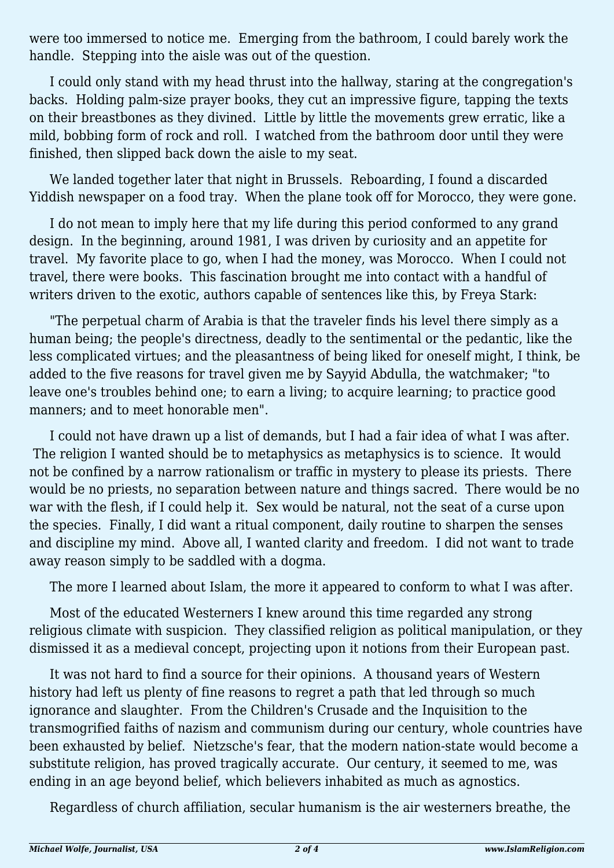were too immersed to notice me. Emerging from the bathroom, I could barely work the handle. Stepping into the aisle was out of the question.

I could only stand with my head thrust into the hallway, staring at the congregation's backs. Holding palm-size prayer books, they cut an impressive figure, tapping the texts on their breastbones as they divined. Little by little the movements grew erratic, like a mild, bobbing form of rock and roll. I watched from the bathroom door until they were finished, then slipped back down the aisle to my seat.

We landed together later that night in Brussels. Reboarding, I found a discarded Yiddish newspaper on a food tray. When the plane took off for Morocco, they were gone.

I do not mean to imply here that my life during this period conformed to any grand design. In the beginning, around 1981, I was driven by curiosity and an appetite for travel. My favorite place to go, when I had the money, was Morocco. When I could not travel, there were books. This fascination brought me into contact with a handful of writers driven to the exotic, authors capable of sentences like this, by Freya Stark:

"The perpetual charm of Arabia is that the traveler finds his level there simply as a human being; the people's directness, deadly to the sentimental or the pedantic, like the less complicated virtues; and the pleasantness of being liked for oneself might, I think, be added to the five reasons for travel given me by Sayyid Abdulla, the watchmaker; "to leave one's troubles behind one; to earn a living; to acquire learning; to practice good manners; and to meet honorable men".

I could not have drawn up a list of demands, but I had a fair idea of what I was after. The religion I wanted should be to metaphysics as metaphysics is to science. It would not be confined by a narrow rationalism or traffic in mystery to please its priests. There would be no priests, no separation between nature and things sacred. There would be no war with the flesh, if I could help it. Sex would be natural, not the seat of a curse upon the species. Finally, I did want a ritual component, daily routine to sharpen the senses and discipline my mind. Above all, I wanted clarity and freedom. I did not want to trade away reason simply to be saddled with a dogma.

The more I learned about Islam, the more it appeared to conform to what I was after.

Most of the educated Westerners I knew around this time regarded any strong religious climate with suspicion. They classified religion as political manipulation, or they dismissed it as a medieval concept, projecting upon it notions from their European past.

It was not hard to find a source for their opinions. A thousand years of Western history had left us plenty of fine reasons to regret a path that led through so much ignorance and slaughter. From the Children's Crusade and the Inquisition to the transmogrified faiths of nazism and communism during our century, whole countries have been exhausted by belief. Nietzsche's fear, that the modern nation-state would become a substitute religion, has proved tragically accurate. Our century, it seemed to me, was ending in an age beyond belief, which believers inhabited as much as agnostics.

Regardless of church affiliation, secular humanism is the air westerners breathe, the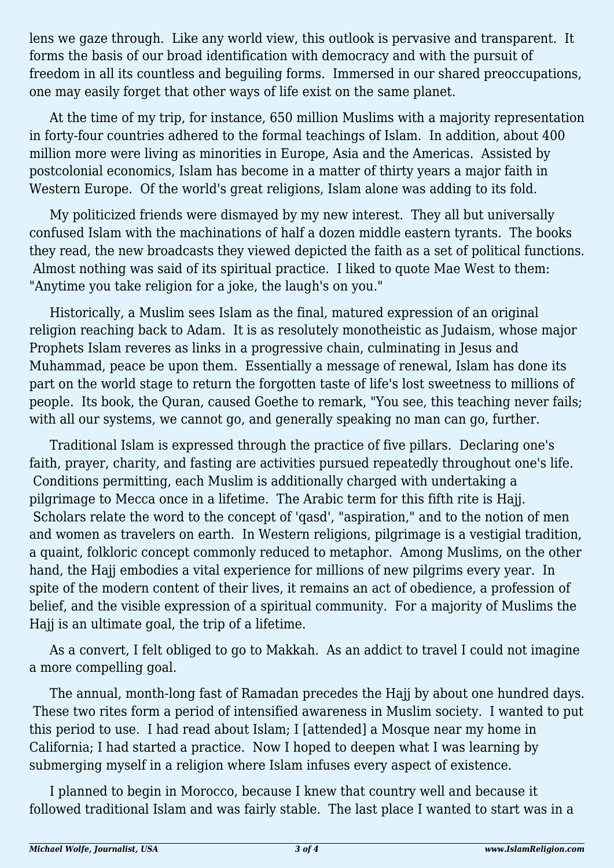lens we gaze through. Like any world view, this outlook is pervasive and transparent. It forms the basis of our broad identification with democracy and with the pursuit of freedom in all its countless and beguiling forms. Immersed in our shared preoccupations, one may easily forget that other ways of life exist on the same planet.

At the time of my trip, for instance, 650 million Muslims with a majority representation in forty-four countries adhered to the formal teachings of Islam. In addition, about 400 million more were living as minorities in Europe, Asia and the Americas. Assisted by postcolonial economics, Islam has become in a matter of thirty years a major faith in Western Europe. Of the world's great religions, Islam alone was adding to its fold.

My politicized friends were dismayed by my new interest. They all but universally confused Islam with the machinations of half a dozen middle eastern tyrants. The books they read, the new broadcasts they viewed depicted the faith as a set of political functions. Almost nothing was said of its spiritual practice. I liked to quote Mae West to them: "Anytime you take religion for a joke, the laugh's on you."

Historically, a Muslim sees Islam as the final, matured expression of an original religion reaching back to Adam. It is as resolutely monotheistic as Judaism, whose major Prophets Islam reveres as links in a progressive chain, culminating in Jesus and Muhammad, peace be upon them. Essentially a message of renewal, Islam has done its part on the world stage to return the forgotten taste of life's lost sweetness to millions of people. Its book, the Quran, caused Goethe to remark, "You see, this teaching never fails; with all our systems, we cannot go, and generally speaking no man can go, further.

Traditional Islam is expressed through the practice of five pillars. Declaring one's faith, prayer, charity, and fasting are activities pursued repeatedly throughout one's life. Conditions permitting, each Muslim is additionally charged with undertaking a pilgrimage to Mecca once in a lifetime. The Arabic term for this fifth rite is Hajj. Scholars relate the word to the concept of 'qasd', "aspiration," and to the notion of men and women as travelers on earth. In Western religions, pilgrimage is a vestigial tradition, a quaint, folkloric concept commonly reduced to metaphor. Among Muslims, on the other hand, the Hajj embodies a vital experience for millions of new pilgrims every year. In spite of the modern content of their lives, it remains an act of obedience, a profession of belief, and the visible expression of a spiritual community. For a majority of Muslims the Hajj is an ultimate goal, the trip of a lifetime.

As a convert, I felt obliged to go to Makkah. As an addict to travel I could not imagine a more compelling goal.

The annual, month-long fast of Ramadan precedes the Hajj by about one hundred days. These two rites form a period of intensified awareness in Muslim society. I wanted to put this period to use. I had read about Islam; I [attended] a Mosque near my home in California; I had started a practice. Now I hoped to deepen what I was learning by submerging myself in a religion where Islam infuses every aspect of existence.

I planned to begin in Morocco, because I knew that country well and because it followed traditional Islam and was fairly stable. The last place I wanted to start was in a